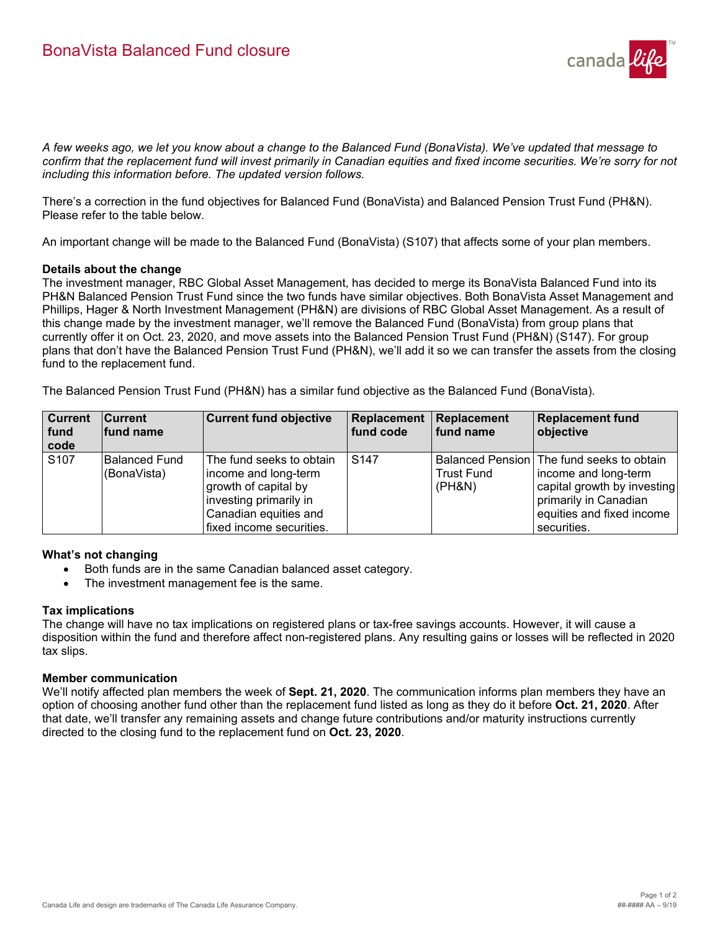

*A few weeks ago, we let you know about a change to the Balanced Fund (BonaVista). We've updated that message to confirm that the replacement fund will invest primarily in Canadian equities and fixed income securities. We're sorry for not including this information before. The updated version follows.*

There's a correction in the fund objectives for Balanced Fund (BonaVista) and Balanced Pension Trust Fund (PH&N). Please refer to the table below.

An important change will be made to the Balanced Fund (BonaVista) (S107) that affects some of your plan members.

#### **Details about the change**

The investment manager, RBC Global Asset Management, has decided to merge its BonaVista Balanced Fund into its PH&N Balanced Pension Trust Fund since the two funds have similar objectives. Both BonaVista Asset Management and Phillips, Hager & North Investment Management (PH&N) are divisions of RBC Global Asset Management. As a result of this change made by the investment manager, we'll remove the Balanced Fund (BonaVista) from group plans that currently offer it on Oct. 23, 2020, and move assets into the Balanced Pension Trust Fund (PH&N) (S147). For group plans that don't have the Balanced Pension Trust Fund (PH&N), we'll add it so we can transfer the assets from the closing fund to the replacement fund.

The Balanced Pension Trust Fund (PH&N) has a similar fund objective as the Balanced Fund (BonaVista).

| <b>Current</b><br>fund<br>code | <b>Current</b><br>fund name  | <b>Current fund objective</b>                                                                                                                           | Replacement<br>fund code | Replacement<br>fund name    | <b>Replacement fund</b><br>objective                                                                                                                                    |
|--------------------------------|------------------------------|---------------------------------------------------------------------------------------------------------------------------------------------------------|--------------------------|-----------------------------|-------------------------------------------------------------------------------------------------------------------------------------------------------------------------|
| S <sub>107</sub>               | Balanced Fund<br>(BonaVista) | The fund seeks to obtain<br>income and long-term<br>growth of capital by<br>investing primarily in<br>Canadian equities and<br>fixed income securities. | S <sub>147</sub>         | <b>Trust Fund</b><br>(PH&N) | Balanced Pension   The fund seeks to obtain<br>income and long-term<br>capital growth by investing<br>primarily in Canadian<br>equities and fixed income<br>securities. |

# **What's not changing**

- Both funds are in the same Canadian balanced asset category.
- The investment management fee is the same.

## **Tax implications**

The change will have no tax implications on registered plans or tax-free savings accounts. However, it will cause a disposition within the fund and therefore affect non-registered plans. Any resulting gains or losses will be reflected in 2020 tax slips.

## **Member communication**

We'll notify affected plan members the week of **Sept. 21, 2020**. The communication informs plan members they have an option of choosing another fund other than the replacement fund listed as long as they do it before **Oct. 21, 2020**. After that date, we'll transfer any remaining assets and change future contributions and/or maturity instructions currently directed to the closing fund to the replacement fund on **Oct. 23, 2020**.